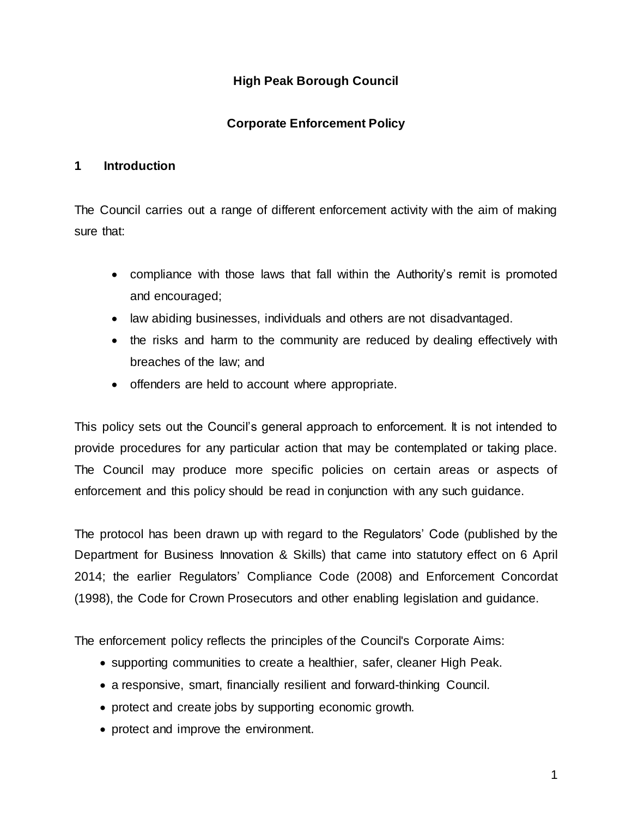# **High Peak Borough Council**

# **Corporate Enforcement Policy**

### **1 Introduction**

The Council carries out a range of different enforcement activity with the aim of making sure that:

- compliance with those laws that fall within the Authority's remit is promoted and encouraged;
- law abiding businesses, individuals and others are not disadvantaged.
- the risks and harm to the community are reduced by dealing effectively with breaches of the law; and
- offenders are held to account where appropriate.

This policy sets out the Council's general approach to enforcement. It is not intended to provide procedures for any particular action that may be contemplated or taking place. The Council may produce more specific policies on certain areas or aspects of enforcement and this policy should be read in conjunction with any such guidance.

The protocol has been drawn up with regard to the Regulators' Code (published by the Department for Business Innovation & Skills) that came into statutory effect on 6 April 2014; the earlier Regulators' Compliance Code (2008) and Enforcement Concordat (1998), the Code for Crown Prosecutors and other enabling legislation and guidance.

The enforcement policy reflects the principles of the Council's Corporate Aims:

- supporting communities to create a healthier, safer, cleaner High Peak.
- a responsive, smart, financially resilient and forward-thinking Council.
- protect and create jobs by supporting economic growth.
- protect and improve the environment.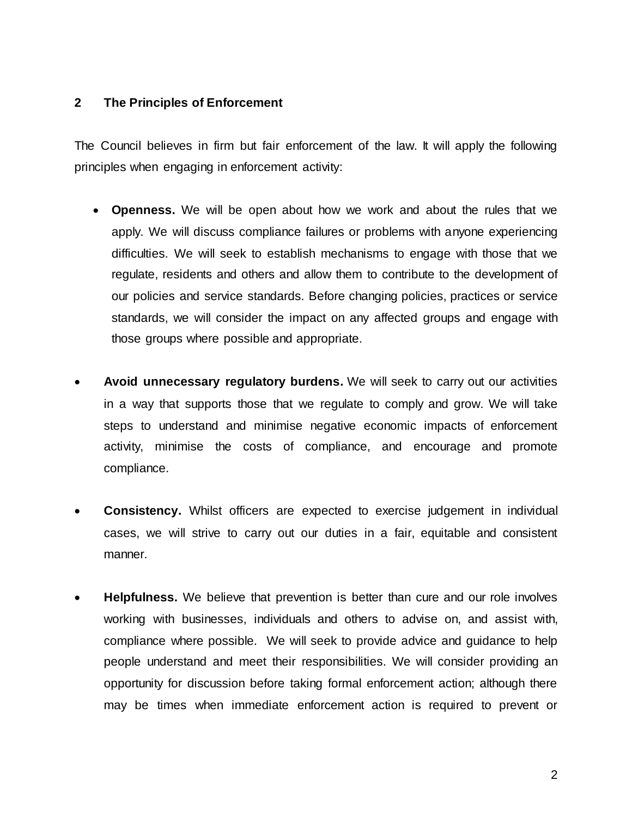### **2 The Principles of Enforcement**

The Council believes in firm but fair enforcement of the law. It will apply the following principles when engaging in enforcement activity:

- **Openness.** We will be open about how we work and about the rules that we apply. We will discuss compliance failures or problems with anyone experiencing difficulties. We will seek to establish mechanisms to engage with those that we regulate, residents and others and allow them to contribute to the development of our policies and service standards. Before changing policies, practices or service standards, we will consider the impact on any affected groups and engage with those groups where possible and appropriate.
- **Avoid unnecessary regulatory burdens.** We will seek to carry out our activities in a way that supports those that we regulate to comply and grow. We will take steps to understand and minimise negative economic impacts of enforcement activity, minimise the costs of compliance, and encourage and promote compliance.
- **Consistency.** Whilst officers are expected to exercise judgement in individual cases, we will strive to carry out our duties in a fair, equitable and consistent manner.
- **Helpfulness.** We believe that prevention is better than cure and our role involves working with businesses, individuals and others to advise on, and assist with, compliance where possible. We will seek to provide advice and guidance to help people understand and meet their responsibilities. We will consider providing an opportunity for discussion before taking formal enforcement action; although there may be times when immediate enforcement action is required to prevent or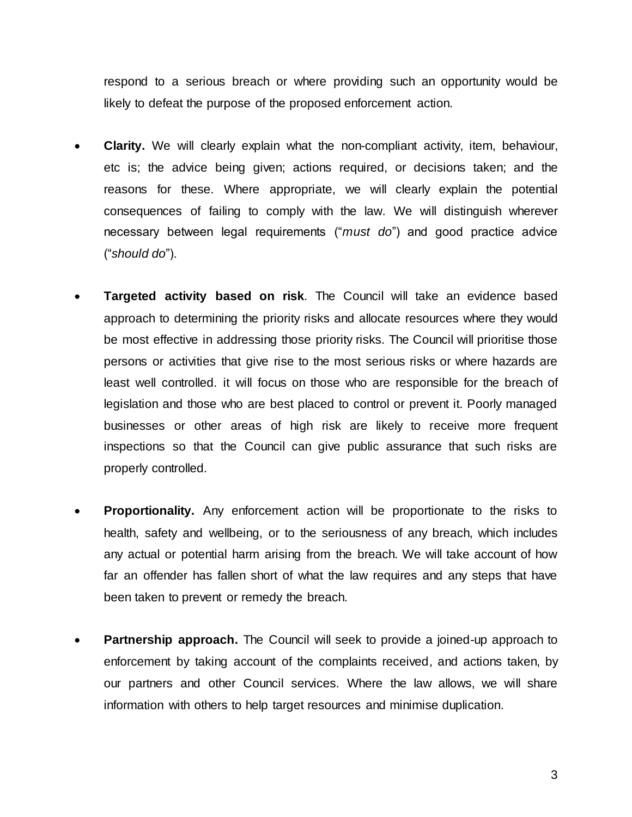respond to a serious breach or where providing such an opportunity would be likely to defeat the purpose of the proposed enforcement action.

- **Clarity.** We will clearly explain what the non-compliant activity, item, behaviour, etc is; the advice being given; actions required, or decisions taken; and the reasons for these. Where appropriate, we will clearly explain the potential consequences of failing to comply with the law. We will distinguish wherever necessary between legal requirements ("*must do*") and good practice advice ("*should do*").
- **Targeted activity based on risk***.* The Council will take an evidence based approach to determining the priority risks and allocate resources where they would be most effective in addressing those priority risks. The Council will prioritise those persons or activities that give rise to the most serious risks or where hazards are least well controlled. it will focus on those who are responsible for the breach of legislation and those who are best placed to control or prevent it. Poorly managed businesses or other areas of high risk are likely to receive more frequent inspections so that the Council can give public assurance that such risks are properly controlled.
- **Proportionality.** Any enforcement action will be proportionate to the risks to health, safety and wellbeing, or to the seriousness of any breach, which includes any actual or potential harm arising from the breach. We will take account of how far an offender has fallen short of what the law requires and any steps that have been taken to prevent or remedy the breach.
- **Partnership approach.** The Council will seek to provide a joined-up approach to enforcement by taking account of the complaints received, and actions taken, by our partners and other Council services. Where the law allows, we will share information with others to help target resources and minimise duplication.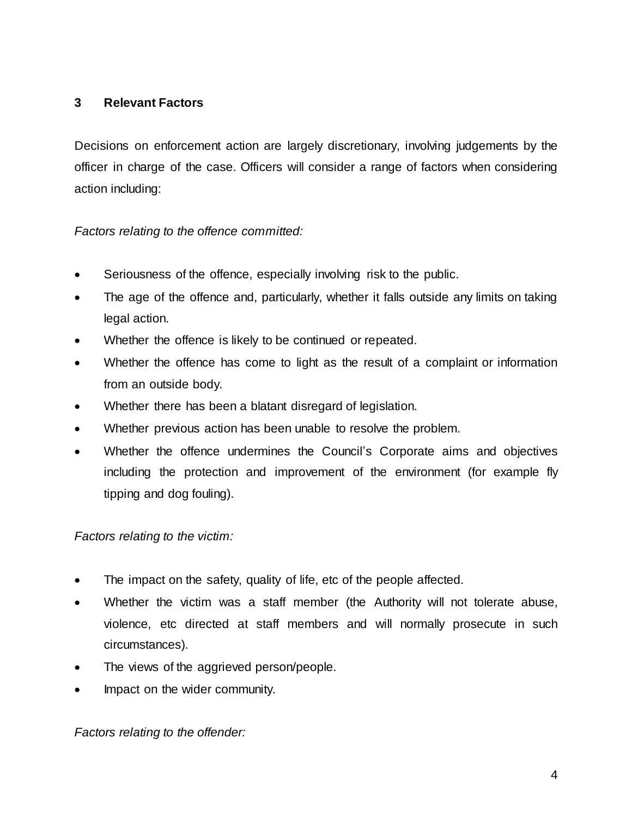# **3 Relevant Factors**

Decisions on enforcement action are largely discretionary, involving judgements by the officer in charge of the case. Officers will consider a range of factors when considering action including:

# *Factors relating to the offence committed:*

- Seriousness of the offence, especially involving risk to the public.
- The age of the offence and, particularly, whether it falls outside any limits on taking legal action.
- Whether the offence is likely to be continued or repeated.
- Whether the offence has come to light as the result of a complaint or information from an outside body.
- Whether there has been a blatant disregard of legislation.
- Whether previous action has been unable to resolve the problem.
- Whether the offence undermines the Council's Corporate aims and objectives including the protection and improvement of the environment (for example fly tipping and dog fouling).

# *Factors relating to the victim:*

- The impact on the safety, quality of life, etc of the people affected.
- Whether the victim was a staff member (the Authority will not tolerate abuse, violence, etc directed at staff members and will normally prosecute in such circumstances).
- The views of the aggrieved person/people.
- Impact on the wider community.

### *Factors relating to the offender:*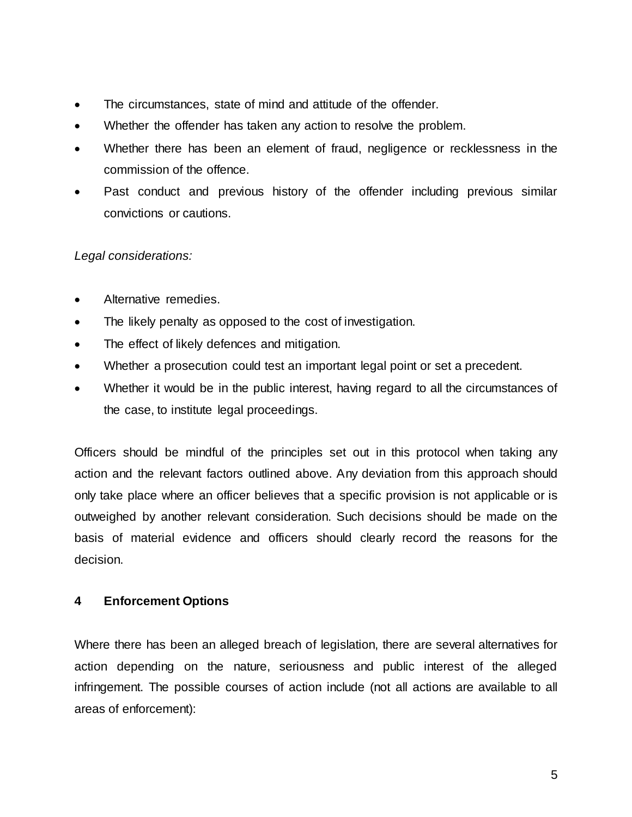- The circumstances, state of mind and attitude of the offender.
- Whether the offender has taken any action to resolve the problem.
- Whether there has been an element of fraud, negligence or recklessness in the commission of the offence.
- Past conduct and previous history of the offender including previous similar convictions or cautions.

### *Legal considerations:*

- Alternative remedies.
- The likely penalty as opposed to the cost of investigation.
- The effect of likely defences and mitigation.
- Whether a prosecution could test an important legal point or set a precedent.
- Whether it would be in the public interest, having regard to all the circumstances of the case, to institute legal proceedings.

Officers should be mindful of the principles set out in this protocol when taking any action and the relevant factors outlined above. Any deviation from this approach should only take place where an officer believes that a specific provision is not applicable or is outweighed by another relevant consideration. Such decisions should be made on the basis of material evidence and officers should clearly record the reasons for the decision.

### **4 Enforcement Options**

Where there has been an alleged breach of legislation, there are several alternatives for action depending on the nature, seriousness and public interest of the alleged infringement. The possible courses of action include (not all actions are available to all areas of enforcement):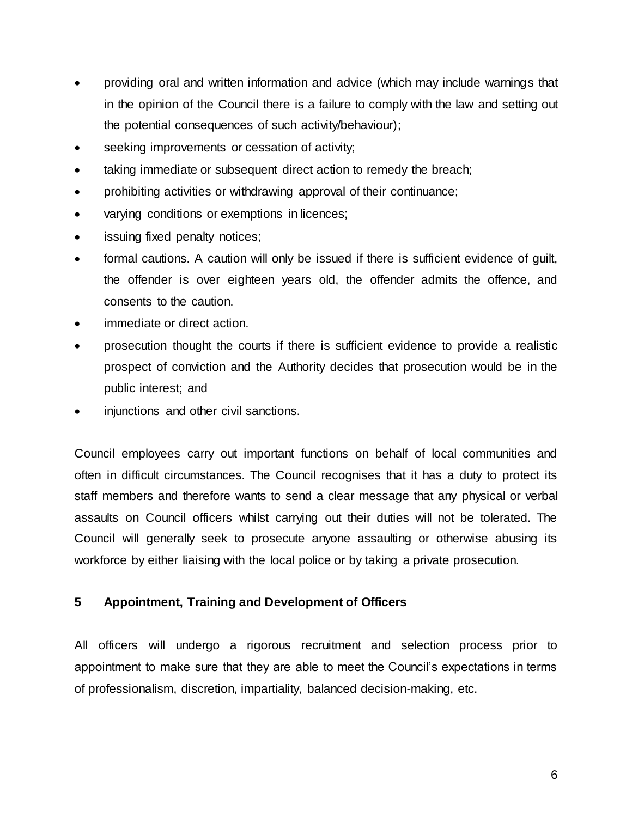- providing oral and written information and advice (which may include warnings that in the opinion of the Council there is a failure to comply with the law and setting out the potential consequences of such activity/behaviour);
- seeking improvements or cessation of activity;
- taking immediate or subsequent direct action to remedy the breach;
- prohibiting activities or withdrawing approval of their continuance;
- varying conditions or exemptions in licences;
- issuing fixed penalty notices;
- formal cautions. A caution will only be issued if there is sufficient evidence of guilt, the offender is over eighteen years old, the offender admits the offence, and consents to the caution.
- immediate or direct action.
- prosecution thought the courts if there is sufficient evidence to provide a realistic prospect of conviction and the Authority decides that prosecution would be in the public interest; and
- injunctions and other civil sanctions.

Council employees carry out important functions on behalf of local communities and often in difficult circumstances. The Council recognises that it has a duty to protect its staff members and therefore wants to send a clear message that any physical or verbal assaults on Council officers whilst carrying out their duties will not be tolerated. The Council will generally seek to prosecute anyone assaulting or otherwise abusing its workforce by either liaising with the local police or by taking a private prosecution.

### **5 Appointment, Training and Development of Officers**

All officers will undergo a rigorous recruitment and selection process prior to appointment to make sure that they are able to meet the Council's expectations in terms of professionalism, discretion, impartiality, balanced decision-making, etc.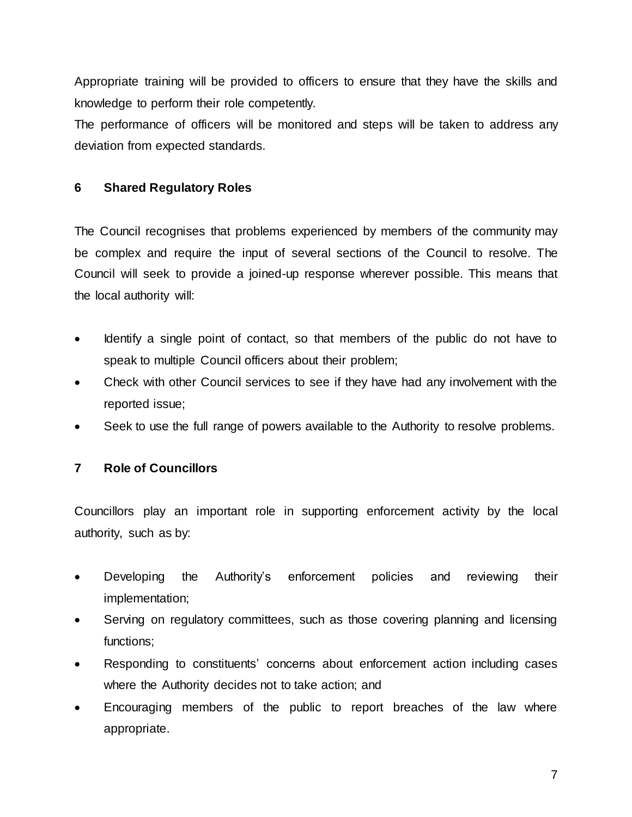Appropriate training will be provided to officers to ensure that they have the skills and knowledge to perform their role competently.

The performance of officers will be monitored and steps will be taken to address any deviation from expected standards.

# **6 Shared Regulatory Roles**

The Council recognises that problems experienced by members of the community may be complex and require the input of several sections of the Council to resolve. The Council will seek to provide a joined-up response wherever possible. This means that the local authority will:

- Identify a single point of contact, so that members of the public do not have to speak to multiple Council officers about their problem;
- Check with other Council services to see if they have had any involvement with the reported issue;
- Seek to use the full range of powers available to the Authority to resolve problems.

# **7 Role of Councillors**

Councillors play an important role in supporting enforcement activity by the local authority, such as by:

- Developing the Authority's enforcement policies and reviewing their implementation;
- Serving on regulatory committees, such as those covering planning and licensing functions;
- Responding to constituents' concerns about enforcement action including cases where the Authority decides not to take action; and
- Encouraging members of the public to report breaches of the law where appropriate.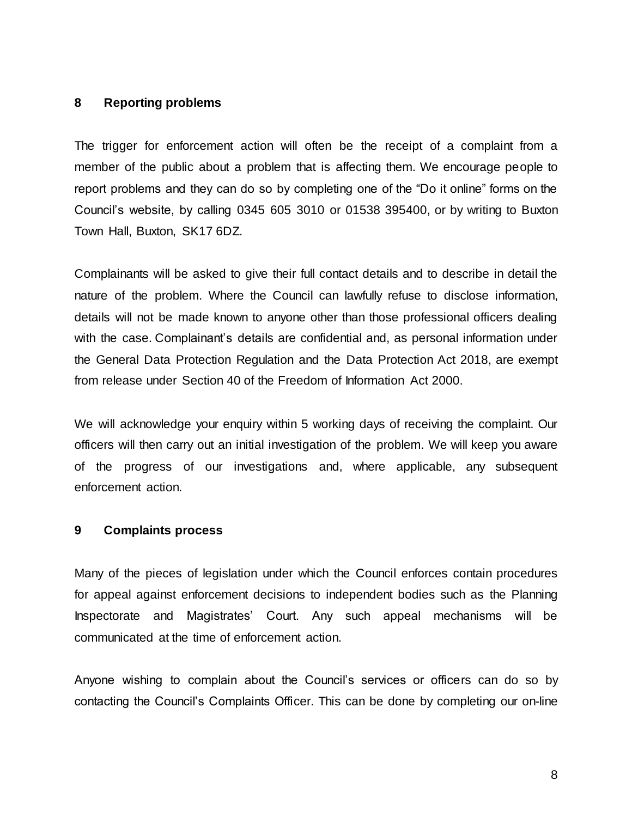### **8 Reporting problems**

The trigger for enforcement action will often be the receipt of a complaint from a member of the public about a problem that is affecting them. We encourage people to report problems and they can do so by completing one of the "Do it online" forms on the Council's website, by calling 0345 605 3010 or 01538 395400, or by writing to Buxton Town Hall, Buxton, SK17 6DZ.

Complainants will be asked to give their full contact details and to describe in detail the nature of the problem. Where the Council can lawfully refuse to disclose information, details will not be made known to anyone other than those professional officers dealing with the case. Complainant's details are confidential and, as personal information under the General Data Protection Regulation and the Data Protection Act 2018, are exempt from release under Section 40 of the Freedom of Information Act 2000.

We will acknowledge your enquiry within 5 working days of receiving the complaint. Our officers will then carry out an initial investigation of the problem. We will keep you aware of the progress of our investigations and, where applicable, any subsequent enforcement action.

#### **9 Complaints process**

Many of the pieces of legislation under which the Council enforces contain procedures for appeal against enforcement decisions to independent bodies such as the Planning Inspectorate and Magistrates' Court. Any such appeal mechanisms will be communicated at the time of enforcement action.

Anyone wishing to complain about the Council's services or officers can do so by contacting the Council's Complaints Officer. This can be done by completing our on-line